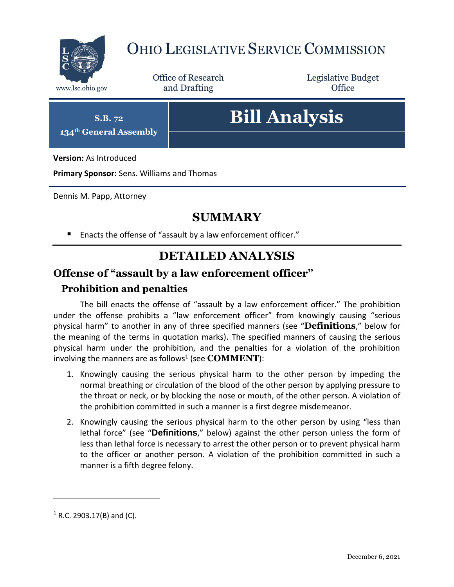

## OHIO LEGISLATIVE SERVICE COMMISSION

Office of Research www.lsc.ohio.gov **and Drafting Office** 

Legislative Budget

**S.B. 72**

**134th General Assembly**

# **Bill Analysis**

**Version:** As Introduced

**Primary Sponsor:** Sens. Williams and Thomas

Dennis M. Papp, Attorney

## **SUMMARY**

■ Enacts the offense of "assault by a law enforcement officer."

## **DETAILED ANALYSIS**

#### **Offense of "assault by a law enforcement officer"**

#### **Prohibition and penalties**

The bill enacts the offense of "assault by a law enforcement officer." The prohibition under the offense prohibits a "law enforcement officer" from knowingly causing "serious physical harm" to another in any of three specified manners (see "**Definitions**," below for the meaning of the terms in quotation marks). The specified manners of causing the serious physical harm under the prohibition, and the penalties for a violation of the prohibition involving the manners are as follows $^1$  (see  $\mathbf{COMMENT}$ ):

- 1. Knowingly causing the serious physical harm to the other person by impeding the normal breathing or circulation of the blood of the other person by applying pressure to the throat or neck, or by blocking the nose or mouth, of the other person. A violation of the prohibition committed in such a manner is a first degree misdemeanor.
- 2. Knowingly causing the serious physical harm to the other person by using "less than lethal force" (see "**Definitions**," below) against the other person unless the form of less than lethal force is necessary to arrest the other person or to prevent physical harm to the officer or another person. A violation of the prohibition committed in such a manner is a fifth degree felony.

 $\overline{a}$ 

 $1$  R.C. 2903.17(B) and (C).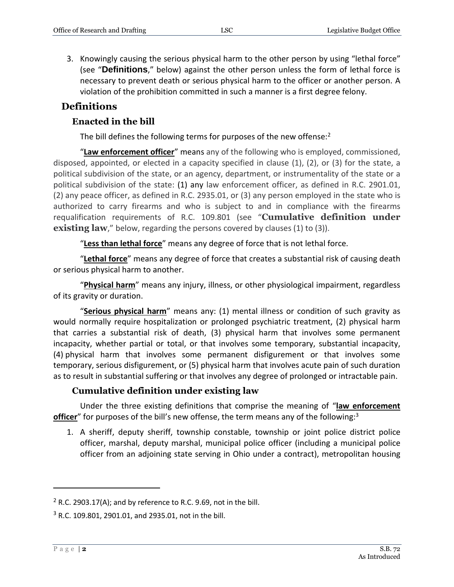3. Knowingly causing the serious physical harm to the other person by using "lethal force" (see "**Definitions**," below) against the other person unless the form of lethal force is necessary to prevent death or serious physical harm to the officer or another person. A violation of the prohibition committed in such a manner is a first degree felony.

#### **Definitions**

#### **Enacted in the bill**

The bill defines the following terms for purposes of the new offense: $2$ 

"**Law enforcement officer**" means any of the following who is employed, commissioned, disposed, appointed, or elected in a capacity specified in clause (1), (2), or (3) for the state, a political subdivision of the state, or an agency, department, or instrumentality of the state or a political subdivision of the state: (1) any law enforcement officer, as defined in R.C. 2901.01, (2) any peace officer, as defined in R.C. 2935.01, or (3) any person employed in the state who is authorized to carry firearms and who is subject to and in compliance with the firearms requalification requirements of R.C. 109.801 (see "**Cumulative definition under existing law**," below, regarding the persons covered by clauses (1) to (3)).

#### "**Less than lethal force**" means any degree of force that is not lethal force.

"**Lethal force**" means any degree of force that creates a substantial risk of causing death or serious physical harm to another.

"**Physical harm**" means any injury, illness, or other physiological impairment, regardless of its gravity or duration.

"**Serious physical harm**" means any: (1) mental illness or condition of such gravity as would normally require hospitalization or prolonged psychiatric treatment, (2) physical harm that carries a substantial risk of death, (3) physical harm that involves some permanent incapacity, whether partial or total, or that involves some temporary, substantial incapacity, (4) physical harm that involves some permanent disfigurement or that involves some temporary, serious disfigurement, or (5) physical harm that involves acute pain of such duration as to result in substantial suffering or that involves any degree of prolonged or intractable pain.

#### **Cumulative definition under existing law**

Under the three existing definitions that comprise the meaning of "**law enforcement officer**" for purposes of the bill's new offense, the term means any of the following:<sup>3</sup>

1. A sheriff, deputy sheriff, township constable, township or joint police district police officer, marshal, deputy marshal, municipal police officer (including a municipal police officer from an adjoining state serving in Ohio under a contract), metropolitan housing

 $\overline{a}$ 

 $2$  R.C. 2903.17(A); and by reference to R.C. 9.69, not in the bill.

<sup>3</sup> R.C. 109.801, 2901.01, and 2935.01, not in the bill.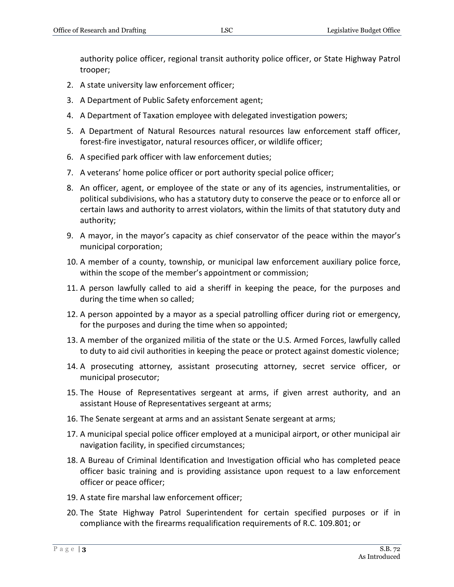authority police officer, regional transit authority police officer, or State Highway Patrol trooper;

- 2. A state university law enforcement officer;
- 3. A Department of Public Safety enforcement agent;
- 4. A Department of Taxation employee with delegated investigation powers;
- 5. A Department of Natural Resources natural resources law enforcement staff officer, forest-fire investigator, natural resources officer, or wildlife officer;
- 6. A specified park officer with law enforcement duties;
- 7. A veterans' home police officer or port authority special police officer;
- 8. An officer, agent, or employee of the state or any of its agencies, instrumentalities, or political subdivisions, who has a statutory duty to conserve the peace or to enforce all or certain laws and authority to arrest violators, within the limits of that statutory duty and authority;
- 9. A mayor, in the mayor's capacity as chief conservator of the peace within the mayor's municipal corporation;
- 10. A member of a county, township, or municipal law enforcement auxiliary police force, within the scope of the member's appointment or commission;
- 11. A person lawfully called to aid a sheriff in keeping the peace, for the purposes and during the time when so called;
- 12. A person appointed by a mayor as a special patrolling officer during riot or emergency, for the purposes and during the time when so appointed;
- 13. A member of the organized militia of the state or the U.S. Armed Forces, lawfully called to duty to aid civil authorities in keeping the peace or protect against domestic violence;
- 14. A prosecuting attorney, assistant prosecuting attorney, secret service officer, or municipal prosecutor;
- 15. The House of Representatives sergeant at arms, if given arrest authority, and an assistant House of Representatives sergeant at arms;
- 16. The Senate sergeant at arms and an assistant Senate sergeant at arms;
- 17. A municipal special police officer employed at a municipal airport, or other municipal air navigation facility, in specified circumstances;
- 18. A Bureau of Criminal Identification and Investigation official who has completed peace officer basic training and is providing assistance upon request to a law enforcement officer or peace officer;
- 19. A state fire marshal law enforcement officer;
- 20. The State Highway Patrol Superintendent for certain specified purposes or if in compliance with the firearms requalification requirements of R.C. 109.801; or